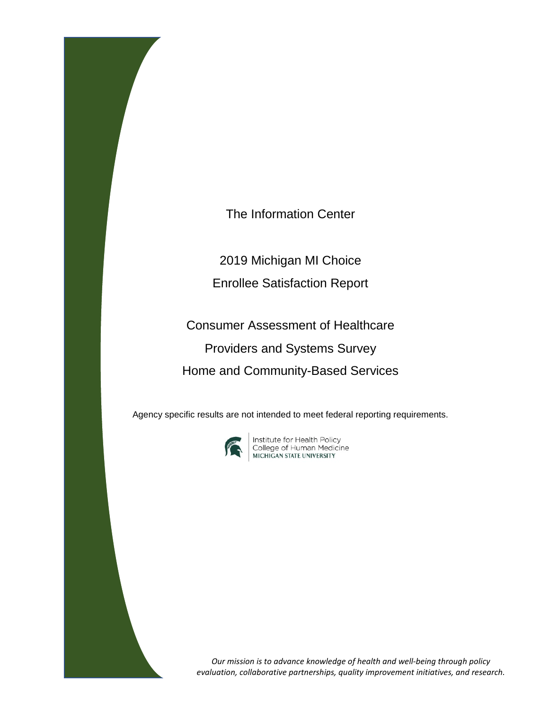The Information Center

2019 Michigan MI Choice

Enrollee Satisfaction Report

Consumer Assessment of Healthcare Providers and Systems Survey Home and Community-Based Services

Agency specific results are not intended to meet federal reporting requirements.



**Institute for Health Policy<br>College of Human Medicine<br>MICHIGAN STATE UNIVERSITY** 

*Our mission is to advance knowledge of health and well-being through policy evaluation, collaborative partnerships, quality improvement initiatives, and research.*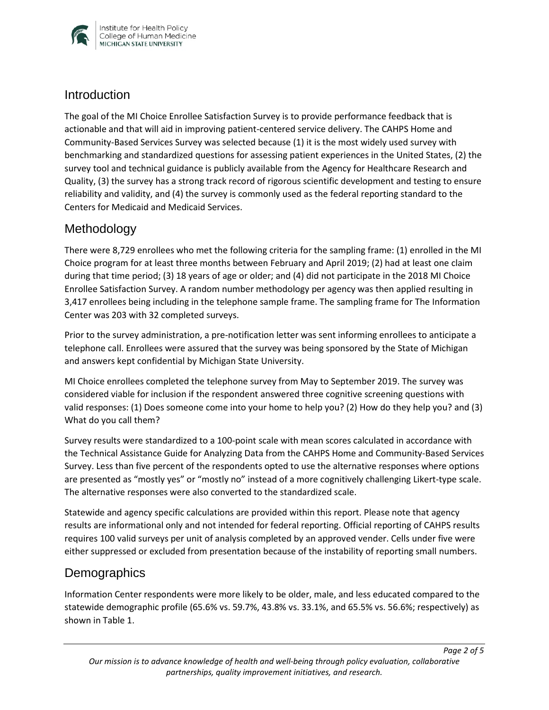

### **Introduction**

The goal of the MI Choice Enrollee Satisfaction Survey is to provide performance feedback that is actionable and that will aid in improving patient-centered service delivery. The CAHPS Home and Community-Based Services Survey was selected because (1) it is the most widely used survey with benchmarking and standardized questions for assessing patient experiences in the United States, (2) the survey tool and technical guidance is publicly available from the Agency for Healthcare Research and Quality, (3) the survey has a strong track record of rigorous scientific development and testing to ensure reliability and validity, and (4) the survey is commonly used as the federal reporting standard to the Centers for Medicaid and Medicaid Services.

## Methodology

There were 8,729 enrollees who met the following criteria for the sampling frame: (1) enrolled in the MI Choice program for at least three months between February and April 2019; (2) had at least one claim during that time period; (3) 18 years of age or older; and (4) did not participate in the 2018 MI Choice Enrollee Satisfaction Survey. A random number methodology per agency was then applied resulting in 3,417 enrollees being including in the telephone sample frame. The sampling frame for The Information Center was 203 with 32 completed surveys.

Prior to the survey administration, a pre-notification letter was sent informing enrollees to anticipate a telephone call. Enrollees were assured that the survey was being sponsored by the State of Michigan and answers kept confidential by Michigan State University.

MI Choice enrollees completed the telephone survey from May to September 2019. The survey was considered viable for inclusion if the respondent answered three cognitive screening questions with valid responses: (1) Does someone come into your home to help you? (2) How do they help you? and (3) What do you call them?

Survey results were standardized to a 100-point scale with mean scores calculated in accordance with the Technical Assistance Guide for Analyzing Data from the CAHPS Home and Community-Based Services Survey. Less than five percent of the respondents opted to use the alternative responses where options are presented as "mostly yes" or "mostly no" instead of a more cognitively challenging Likert-type scale. The alternative responses were also converted to the standardized scale.

Statewide and agency specific calculations are provided within this report. Please note that agency results are informational only and not intended for federal reporting. Official reporting of CAHPS results requires 100 valid surveys per unit of analysis completed by an approved vender. Cells under five were either suppressed or excluded from presentation because of the instability of reporting small numbers.

## **Demographics**

Information Center respondents were more likely to be older, male, and less educated compared to the statewide demographic profile (65.6% vs. 59.7%, 43.8% vs. 33.1%, and 65.5% vs. 56.6%; respectively) as shown in Table 1.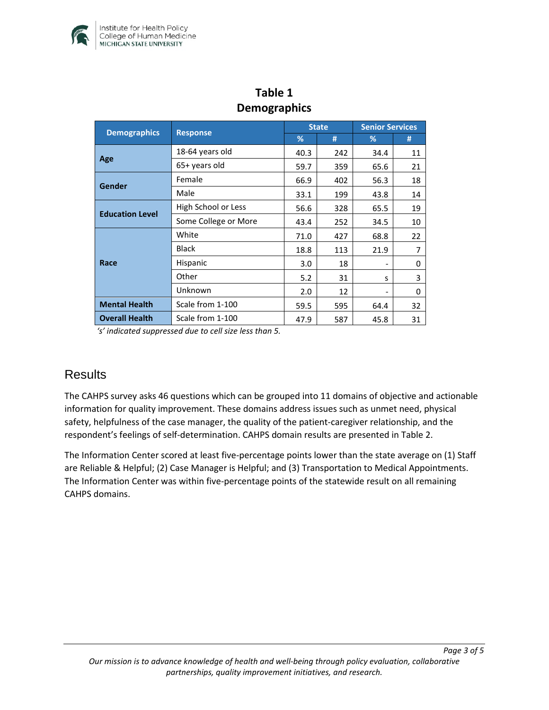

| o – r                  |                      |              |     |                        |    |  |  |  |
|------------------------|----------------------|--------------|-----|------------------------|----|--|--|--|
|                        | <b>Response</b>      | <b>State</b> |     | <b>Senior Services</b> |    |  |  |  |
| <b>Demographics</b>    |                      | %            | #   | %                      | #  |  |  |  |
| Age                    | 18-64 years old      | 40.3         | 242 | 34.4                   | 11 |  |  |  |
|                        | 65+ years old        | 59.7         | 359 | 65.6                   | 21 |  |  |  |
| Gender                 | Female               | 66.9         | 402 | 56.3                   | 18 |  |  |  |
|                        | Male                 | 33.1         | 199 | 43.8                   | 14 |  |  |  |
| <b>Education Level</b> | High School or Less  | 56.6         | 328 | 65.5                   | 19 |  |  |  |
|                        | Some College or More | 43.4         | 252 | 34.5                   | 10 |  |  |  |
| Race                   | White                | 71.0         | 427 | 68.8                   | 22 |  |  |  |
|                        | <b>Black</b>         | 18.8         | 113 | 21.9                   | 7  |  |  |  |
|                        | Hispanic             | 3.0          | 18  |                        | 0  |  |  |  |
|                        | Other                | 5.2          | 31  | s                      | 3  |  |  |  |
|                        | Unknown              | 2.0          | 12  |                        | 0  |  |  |  |
| <b>Mental Health</b>   | Scale from 1-100     | 59.5         | 595 | 64.4                   | 32 |  |  |  |
| <b>Overall Health</b>  | Scale from 1-100     | 47.9         | 587 | 45.8                   | 31 |  |  |  |

### **Table 1 Demographics**

*'s' indicated suppressed due to cell size less than 5.* 

## **Results**

The CAHPS survey asks 46 questions which can be grouped into 11 domains of objective and actionable information for quality improvement. These domains address issues such as unmet need, physical safety, helpfulness of the case manager, the quality of the patient-caregiver relationship, and the respondent's feelings of self-determination. CAHPS domain results are presented in Table 2.

The Information Center scored at least five-percentage points lower than the state average on (1) Staff are Reliable & Helpful; (2) Case Manager is Helpful; and (3) Transportation to Medical Appointments. The Information Center was within five-percentage points of the statewide result on all remaining CAHPS domains.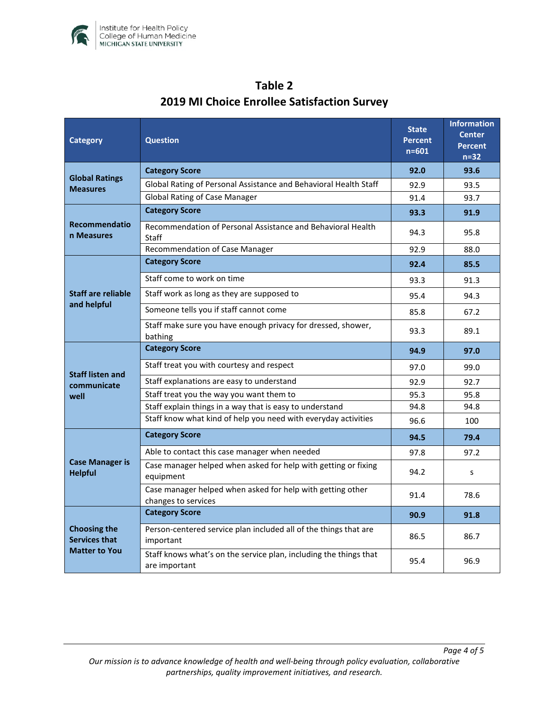

| <b>Category</b>                                                     | <b>Question</b>                                                                    | <b>State</b><br><b>Percent</b><br>$n = 601$ | <b>Information</b><br><b>Center</b><br><b>Percent</b><br>$n=32$ |
|---------------------------------------------------------------------|------------------------------------------------------------------------------------|---------------------------------------------|-----------------------------------------------------------------|
| <b>Global Ratings</b><br><b>Measures</b>                            | <b>Category Score</b>                                                              | 92.0                                        | 93.6                                                            |
|                                                                     | Global Rating of Personal Assistance and Behavioral Health Staff                   | 92.9                                        | 93.5                                                            |
|                                                                     | <b>Global Rating of Case Manager</b>                                               | 91.4                                        | 93.7                                                            |
| <b>Recommendatio</b><br>n Measures                                  | <b>Category Score</b>                                                              | 93.3                                        | 91.9                                                            |
|                                                                     | Recommendation of Personal Assistance and Behavioral Health<br><b>Staff</b>        | 94.3                                        | 95.8                                                            |
|                                                                     | Recommendation of Case Manager                                                     | 92.9                                        | 88.0                                                            |
| <b>Staff are reliable</b><br>and helpful                            | <b>Category Score</b>                                                              | 92.4                                        | 85.5                                                            |
|                                                                     | Staff come to work on time                                                         | 93.3                                        | 91.3                                                            |
|                                                                     | Staff work as long as they are supposed to                                         | 95.4                                        | 94.3                                                            |
|                                                                     | Someone tells you if staff cannot come                                             | 85.8                                        | 67.2                                                            |
|                                                                     | Staff make sure you have enough privacy for dressed, shower,<br>bathing            | 93.3                                        | 89.1                                                            |
|                                                                     | <b>Category Score</b>                                                              | 94.9                                        | 97.0                                                            |
| <b>Staff listen and</b><br>communicate<br>well                      | Staff treat you with courtesy and respect                                          | 97.0                                        | 99.0                                                            |
|                                                                     | Staff explanations are easy to understand                                          | 92.9                                        | 92.7                                                            |
|                                                                     | Staff treat you the way you want them to                                           | 95.3                                        | 95.8                                                            |
|                                                                     | Staff explain things in a way that is easy to understand                           | 94.8                                        | 94.8                                                            |
|                                                                     | Staff know what kind of help you need with everyday activities                     | 96.6                                        | 100                                                             |
| <b>Case Manager is</b><br><b>Helpful</b>                            | <b>Category Score</b>                                                              | 94.5                                        | 79.4                                                            |
|                                                                     | Able to contact this case manager when needed                                      | 97.8                                        | 97.2                                                            |
|                                                                     | Case manager helped when asked for help with getting or fixing<br>equipment        | 94.2                                        | S                                                               |
|                                                                     | Case manager helped when asked for help with getting other<br>changes to services  | 91.4                                        | 78.6                                                            |
| <b>Choosing the</b><br><b>Services that</b><br><b>Matter to You</b> | <b>Category Score</b>                                                              | 90.9                                        | 91.8                                                            |
|                                                                     | Person-centered service plan included all of the things that are<br>important      | 86.5                                        | 86.7                                                            |
|                                                                     | Staff knows what's on the service plan, including the things that<br>are important | 95.4                                        | 96.9                                                            |

# **Table 2 2019 MI Choice Enrollee Satisfaction Survey**